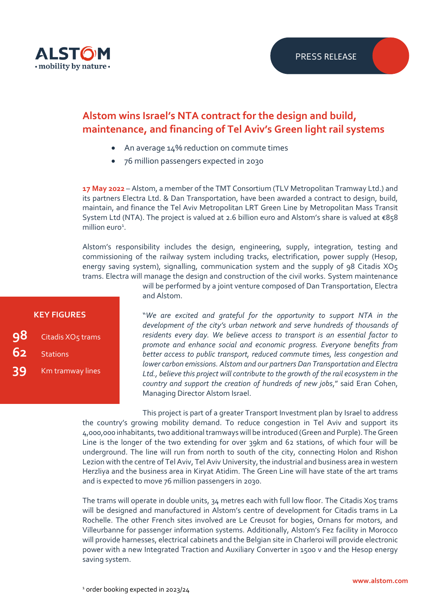

# **Alstom wins Israel's NTA contract for the design and build, maintenance, and financing of Tel Aviv's Green light rail systems**

- An average 14% reduction on commute times
- 76 million passengers expected in 2030

**17 May 2022** – Alstom, a member of the TMT Consortium (TLV Metropolitan Tramway Ltd.) and its partners Electra Ltd. & Dan Transportation, have been awarded a contract to design, build, maintain, and finance the Tel Aviv Metropolitan LRT Green Line by Metropolitan Mass Transit System Ltd (NTA). The project is valued at 2.6 billion euro and Alstom's share is valued at  $\epsilon$ 858 million euro<sup>1</sup>.

Alstom's responsibility includes the design, engineering, supply, integration, testing and commissioning of the railway system including tracks, electrification, power supply (Hesop, energy saving system), signalling, communication system and the supply of 98 Citadis XO5 trams. Electra will manage the design and construction of the civil works. System maintenance

### will be performed by a joint venture composed of Dan Transportation, Electra and Alstom.

"*We are excited and grateful for the opportunity to support NTA in the development of the city's urban network and serve hundreds of thousands of residents every day. We believe access to transport is an essential factor to promote and enhance social and economic progress. Everyone benefits from better access to public transport, reduced commute times, less congestion and lower carbon emissions. Alstom and our partners Dan Transportation and Electra Ltd., believe this project will contribute to the growth of the rail ecosystem in the country and support the creation of hundreds of new jobs*," said Eran Cohen, Managing Director Alstom Israel.

This project is part of a greater Transport Investment plan by Israel to address the country's growing mobility demand. To reduce congestion in Tel Aviv and support its 4,000,000 inhabitants, two additional tramwayswill be introduced (Green and Purple). The Green Line is the longer of the two extending for over 39km and 62 stations, of which four will be underground. The line will run from north to south of the city, connecting Holon and Rishon Lezion with the centre of Tel Aviv, Tel Aviv University, the industrial and business area in western Herzliya and the business area in Kiryat Atidim. The Green Line will have state of the art trams and is expected to move 76 million passengers in 2030.

The trams will operate in double units, 34 metres each with full low floor. The Citadis Xo5 trams will be designed and manufactured in Alstom's centre of development for Citadis trams in La Rochelle. The other French sites involved are Le Creusot for bogies, Ornans for motors, and Villeurbanne for passenger information systems. Additionally, Alstom's Fez facility in Morocco will provide harnesses, electrical cabinets and the Belgian site in Charleroi will provide electronic power with a new Integrated Traction and Auxiliary Converter in 1500 v and the Hesop energy saving system.

## **KEY FIGURES**

- **98** Citadis XO<sub>5</sub> trams
- **Stations**
- **39** Km tramway lines